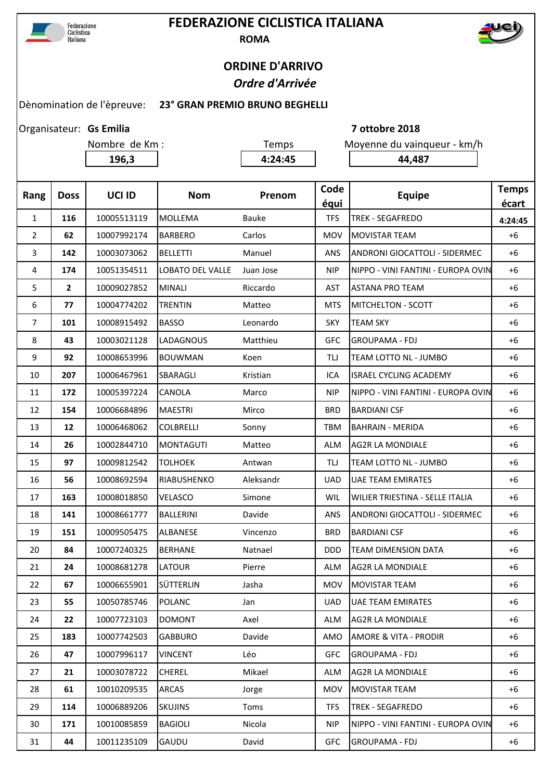

## **FEDERAZIONE CICLISTICA ITALIANA ROMA**



## **ORDINE D'ARRIVO**  *Ordre d'Arrivée*

## Dènomination de l'èpreuve: **23° GRAN PREMIO BRUNO BEGHELLI**

Organisateur: Gs Emilia

Nombre de Km : Temps Moyenne du vainqueur - km/h **196,3 4:24:45 4:24:45 44,487** 

**Gs Emilia 7 ottobre 2018**

| Rang           | <b>Doss</b>    | UCI ID      | <b>Nom</b>              | Prenom    | Code<br>équi | <b>Equipe</b>                        | <b>Temps</b><br>écart |
|----------------|----------------|-------------|-------------------------|-----------|--------------|--------------------------------------|-----------------------|
| $\mathbf{1}$   | 116            | 10005513119 | <b>MOLLEMA</b>          | Bauke     | <b>TFS</b>   | <b>TREK - SEGAFREDO</b>              | 4:24:45               |
| $\overline{2}$ | 62             | 10007992174 | <b>BARBERO</b>          | Carlos    | <b>MOV</b>   | <b>MOVISTAR TEAM</b>                 | $+6$                  |
| 3              | 142            | 10003073062 | <b>BELLETTI</b>         | Manuel    | <b>ANS</b>   | <b>ANDRONI GIOCATTOLI - SIDERMEC</b> | $+6$                  |
| 4              | 174            | 10051354511 | <b>LOBATO DEL VALLE</b> | Juan Jose | <b>NIP</b>   | NIPPO - VINI FANTINI - EUROPA OVIN   | $+6$                  |
| 5              | $\overline{2}$ | 10009027852 | <b>MINALI</b>           | Riccardo  | <b>AST</b>   | <b>ASTANA PRO TEAM</b>               | $+6$                  |
| 6              | 77             | 10004774202 | <b>TRENTIN</b>          | Matteo    | <b>MTS</b>   | <b>MITCHELTON - SCOTT</b>            | $+6$                  |
| $\overline{7}$ | 101            | 10008915492 | <b>BASSO</b>            | Leonardo  | <b>SKY</b>   | <b>TEAM SKY</b>                      | $+6$                  |
| 8              | 43             | 10003021128 | LADAGNOUS               | Matthieu  | <b>GFC</b>   | <b>GROUPAMA - FDJ</b>                | +6                    |
| 9              | 92             | 10008653996 | <b>BOUWMAN</b>          | Koen      | TLJ          | TEAM LOTTO NL - JUMBO                | $+6$                  |
| 10             | 207            | 10006467961 | SBARAGLI                | Kristian  | ICA          | <b>ISRAEL CYCLING ACADEMY</b>        | $+6$                  |
| 11             | 172            | 10005397224 | CANOLA                  | Marco     | <b>NIP</b>   | NIPPO - VINI FANTINI - EUROPA OVIN   | $+6$                  |
| 12             | 154            | 10006684896 | <b>MAESTRI</b>          | Mirco     | <b>BRD</b>   | <b>BARDIANI CSF</b>                  | $+6$                  |
| 13             | 12             | 10006468062 | <b>COLBRELLI</b>        | Sonny     | <b>TBM</b>   | <b>BAHRAIN - MERIDA</b>              | $+6$                  |
| 14             | 26             | 10002844710 | <b>MONTAGUTI</b>        | Matteo    | <b>ALM</b>   | <b>AG2R LA MONDIALE</b>              | $+6$                  |
| 15             | 97             | 10009812542 | <b>TOLHOEK</b>          | Antwan    | <b>TLJ</b>   | TEAM LOTTO NL - JUMBO                | $+6$                  |
| 16             | 56             | 10008692594 | RIABUSHENKO             | Aleksandr | <b>UAD</b>   | <b>UAE TEAM EMIRATES</b>             | $+6$                  |
| 17             | 163            | 10008018850 | VELASCO                 | Simone    | WIL          | WILIER TRIESTINA - SELLE ITALIA      | $+6$                  |
| 18             | 141            | 10008661777 | <b>BALLERINI</b>        | Davide    | <b>ANS</b>   | ANDRONI GIOCATTOLI - SIDERMEC        | $+6$                  |
| 19             | 151            | 10009505475 | <b>ALBANESE</b>         | Vincenzo  | <b>BRD</b>   | <b>BARDIANI CSF</b>                  | $+6$                  |
| 20             | 84             | 10007240325 | <b>BERHANE</b>          | Natnael   | <b>DDD</b>   | <b>TEAM DIMENSION DATA</b>           | $+6$                  |
| 21             | 24             | 10008681278 | LATOUR                  | Pierre    | <b>ALM</b>   | <b>AG2R LA MONDIALE</b>              | $+6$                  |
| 22             | 67             | 10006655901 | SÜTTERLIN               | Jasha     | MOV          | <b>MOVISTAR TEAM</b>                 | +6                    |
| 23             | 55             | 10050785746 | <b>POLANC</b>           | Jan       | <b>UAD</b>   | <b>UAE TEAM EMIRATES</b>             | $+6$                  |
| 24             | 22             | 10007723103 | <b>DOMONT</b>           | Axel      | <b>ALM</b>   | <b>AG2R LA MONDIALE</b>              | $+6$                  |
| 25             | 183            | 10007742503 | <b>GABBURO</b>          | Davide    | AMO          | <b>AMORE &amp; VITA - PRODIR</b>     | $+6$                  |
| 26             | 47             | 10007996117 | VINCENT                 | Léo       | <b>GFC</b>   | <b>GROUPAMA - FDJ</b>                | $+6$                  |
| 27             | 21             | 10003078722 | CHEREL                  | Mikael    | <b>ALM</b>   | AG2R LA MONDIALE                     | $+6$                  |
| 28             | 61             | 10010209535 | ARCAS                   | Jorge     | MOV          | <b>MOVISTAR TEAM</b>                 | $+6$                  |
| 29             | 114            | 10006889206 | <b>SKUJINS</b>          | Toms      | <b>TFS</b>   | <b>TREK - SEGAFREDO</b>              | $+6$                  |
| 30             | 171            | 10010085859 | <b>BAGIOLI</b>          | Nicola    | <b>NIP</b>   | NIPPO - VINI FANTINI - EUROPA OVIN   | $+6$                  |
| 31             | 44             | 10011235109 | GAUDU                   | David     | <b>GFC</b>   | <b>GROUPAMA - FDJ</b>                | $+6$                  |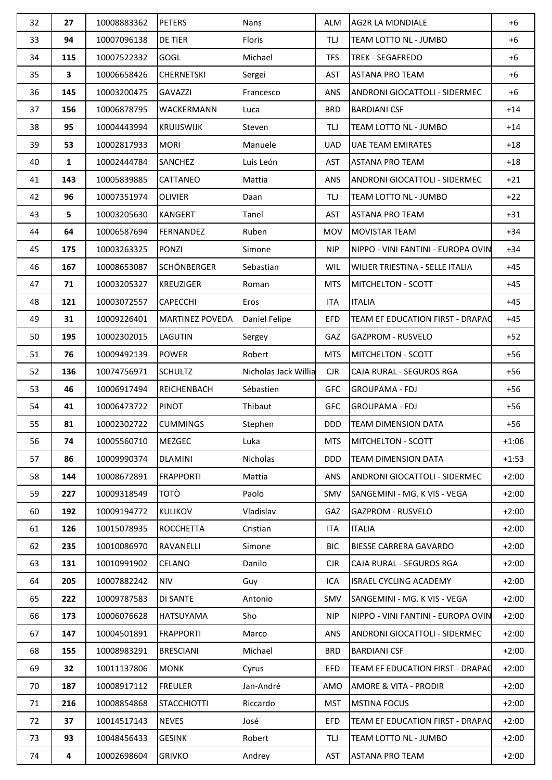| 32 | 27  | 10008883362 | <b>PETERS</b>          | Nans                 | ALM        | <b>AG2R LA MONDIALE</b>                | $+6$    |
|----|-----|-------------|------------------------|----------------------|------------|----------------------------------------|---------|
| 33 | 94  | 10007096138 | DE TIER                | Floris               | TIJ        | TEAM LOTTO NL - JUMBO                  | $+6$    |
| 34 | 115 | 10007522332 | <b>GOGL</b>            | Michael              | <b>TFS</b> | <b>TREK - SEGAFREDO</b>                | $+6$    |
| 35 | 3   | 10006658426 | <b>CHERNETSKI</b>      | Sergei               | <b>AST</b> | <b>ASTANA PRO TEAM</b>                 | $+6$    |
| 36 | 145 | 10003200475 | <b>GAVAZZI</b>         | Francesco            | ANS        | ANDRONI GIOCATTOLI - SIDERMEC          | $+6$    |
| 37 | 156 | 10006878795 | WACKERMANN             | Luca                 | <b>BRD</b> | <b>BARDIANI CSF</b>                    | $+14$   |
| 38 | 95  | 10004443994 | <b>KRUIJSWIJK</b>      | Steven               | <b>TLJ</b> | TEAM LOTTO NL - JUMBO                  | $+14$   |
| 39 | 53  | 10002817933 | <b>MORI</b>            | Manuele              | <b>UAD</b> | <b>UAE TEAM EMIRATES</b>               | $+18$   |
| 40 | 1   | 10002444784 | SANCHEZ                | Luis León            | AST        | <b>ASTANA PRO TEAM</b>                 | $+18$   |
| 41 | 143 | 10005839885 | CATTANEO               | Mattia               | ANS        | <b>ANDRONI GIOCATTOLI - SIDERMEC</b>   | $+21$   |
| 42 | 96  | 10007351974 | <b>OLIVIER</b>         | Daan                 | TIJ        | TEAM LOTTO NL - JUMBO                  | $+22$   |
| 43 | 5   | 10003205630 | <b>KANGERT</b>         | Tanel                | <b>AST</b> | <b>ASTANA PRO TEAM</b>                 | $+31$   |
| 44 | 64  | 10006587694 | FERNANDEZ              | Ruben                | <b>MOV</b> | <b>MOVISTAR TEAM</b>                   | $+34$   |
| 45 | 175 | 10003263325 | <b>PONZI</b>           | Simone               | <b>NIP</b> | NIPPO - VINI FANTINI - EUROPA OVIN     | $+34$   |
| 46 | 167 | 10008653087 | <b>SCHÖNBERGER</b>     | Sebastian            | <b>WIL</b> | <b>WILIER TRIESTINA - SELLE ITALIA</b> | $+45$   |
| 47 | 71  | 10003205327 | <b>KREUZIGER</b>       | Roman                | <b>MTS</b> | <b>MITCHELTON - SCOTT</b>              | $+45$   |
| 48 | 121 | 10003072557 | CAPECCHI               | Eros                 | <b>ITA</b> | <b>ITALIA</b>                          | $+45$   |
| 49 | 31  | 10009226401 | <b>MARTINEZ POVEDA</b> | Daniel Felipe        | <b>EFD</b> | TEAM EF EDUCATION FIRST - DRAPAC       | $+45$   |
| 50 | 195 | 10002302015 | LAGUTIN                | Sergey               | GAZ        | <b>GAZPROM - RUSVELO</b>               | $+52$   |
| 51 | 76  | 10009492139 | <b>POWER</b>           | Robert               | <b>MTS</b> | <b>MITCHELTON - SCOTT</b>              | $+56$   |
| 52 | 136 | 10074756971 | <b>SCHULTZ</b>         | Nicholas Jack Willia | <b>CJR</b> | CAJA RURAL - SEGUROS RGA               | $+56$   |
| 53 | 46  | 10006917494 | <b>REICHENBACH</b>     | Sébastien            | <b>GFC</b> | <b>GROUPAMA - FDJ</b>                  | $+56$   |
| 54 | 41  | 10006473722 | <b>PINOT</b>           | Thibaut              | <b>GFC</b> | <b>GROUPAMA - FDJ</b>                  | $+56$   |
| 55 | 81  | 10002302722 | <b>CUMMINGS</b>        | Stephen              | DDD.       | <b>TEAM DIMENSION DATA</b>             | $+56$   |
| 56 | 74  | 10005560710 | <b>MEZGEC</b>          | Luka                 | MTS.       | <b>MITCHELTON - SCOTT</b>              | $+1:06$ |
| 57 | 86  | 10009990374 | <b>DLAMINI</b>         | Nicholas             | <b>DDD</b> | <b>TEAM DIMENSION DATA</b>             | $+1:53$ |
| 58 | 144 | 10008672891 | <b>FRAPPORTI</b>       | Mattia               | ANS        | <b>ANDRONI GIOCATTOLI - SIDERMEC</b>   | $+2:00$ |
| 59 | 227 | 10009318549 | TOTÒ                   | Paolo                | SMV        | SANGEMINI - MG. K VIS - VEGA           | $+2:00$ |
| 60 | 192 | 10009194772 | <b>KULIKOV</b>         | Vladislav            | GAZ        | <b>GAZPROM - RUSVELO</b>               | $+2:00$ |
| 61 | 126 | 10015078935 | <b>ROCCHETTA</b>       | Cristian             | ITA        | <b>ITALIA</b>                          | $+2:00$ |
| 62 | 235 | 10010086970 | RAVANELLI              | Simone               | <b>BIC</b> | <b>BIESSE CARRERA GAVARDO</b>          | $+2:00$ |
| 63 | 131 | 10010991902 | CELANO                 | Danilo               | <b>CJR</b> | CAJA RURAL - SEGUROS RGA               | $+2:00$ |
| 64 | 205 | 10007882242 | <b>NIV</b>             | Guy                  | ICA        | <b>ISRAEL CYCLING ACADEMY</b>          | $+2:00$ |
| 65 | 222 | 10009787583 | <b>DI SANTE</b>        | Antonio              | SMV        | SANGEMINI - MG. K VIS - VEGA           | $+2:00$ |
| 66 | 173 | 10006076628 | <b>HATSUYAMA</b>       | Sho                  | <b>NIP</b> | NIPPO - VINI FANTINI - EUROPA OVIN     | $+2:00$ |
| 67 | 147 | 10004501891 | <b>FRAPPORTI</b>       | Marco                | <b>ANS</b> | ANDRONI GIOCATTOLI - SIDERMEC          | $+2:00$ |
| 68 | 155 | 10008983291 | <b>BRESCIANI</b>       | Michael              | <b>BRD</b> | <b>BARDIANI CSF</b>                    | $+2:00$ |
| 69 | 32  | 10011137806 | <b>MONK</b>            | Cyrus                | EFD.       | TEAM EF EDUCATION FIRST - DRAPAC       | $+2:00$ |
| 70 | 187 | 10008917112 | <b>FREULER</b>         | Jan-André            | AMO        | <b>AMORE &amp; VITA - PRODIR</b>       | $+2:00$ |
| 71 | 216 | 10008854868 | <b>STACCHIOTTI</b>     | Riccardo             | <b>MST</b> | <b>MSTINA FOCUS</b>                    | $+2:00$ |
| 72 | 37  | 10014517143 | <b>NEVES</b>           | José                 | EFD        | TEAM EF EDUCATION FIRST - DRAPAC       | $+2:00$ |
| 73 | 93  | 10048456433 | <b>GESINK</b>          | Robert               | TLJ        | TEAM LOTTO NL - JUMBO                  | $+2:00$ |
| 74 | 4   | 10002698604 | <b>GRIVKO</b>          | Andrey               | AST        | <b>ASTANA PRO TEAM</b>                 | $+2:00$ |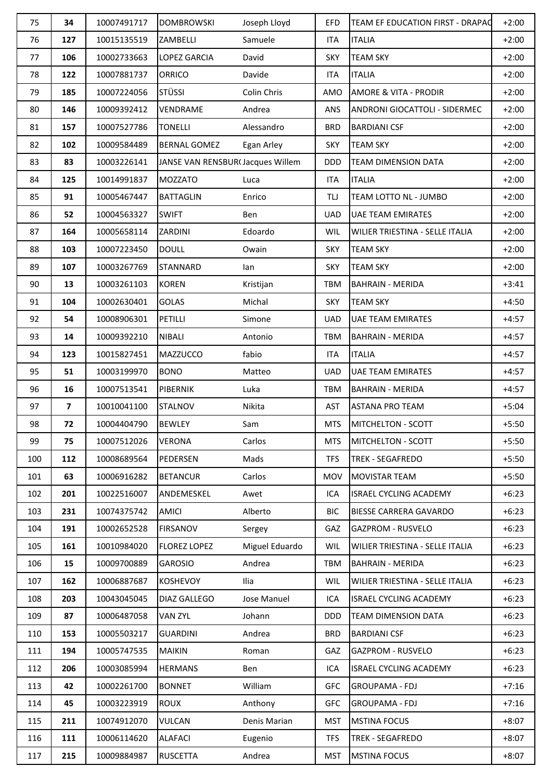| 75  | 34                      | 10007491717 | <b>DOMBROWSKI</b>                | Joseph Lloyd   | <b>EFD</b> | TEAM EF EDUCATION FIRST - DRAPAC | $+2:00$ |
|-----|-------------------------|-------------|----------------------------------|----------------|------------|----------------------------------|---------|
| 76  | 127                     | 10015135519 | <b>ZAMBELLI</b>                  | Samuele        | <b>ITA</b> | <b>ITALIA</b>                    | $+2:00$ |
| 77  | 106                     | 10002733663 | LOPEZ GARCIA                     | David          | <b>SKY</b> | <b>TEAM SKY</b>                  | $+2:00$ |
| 78  | 122                     | 10007881737 | <b>ORRICO</b>                    | Davide         | <b>ITA</b> | <b>ITALIA</b>                    | $+2:00$ |
| 79  | 185                     | 10007224056 | <b>STÜSSI</b>                    | Colin Chris    | AMO        | <b>AMORE &amp; VITA - PRODIR</b> | $+2:00$ |
| 80  | 146                     | 10009392412 | VENDRAME                         | Andrea         | <b>ANS</b> | ANDRONI GIOCATTOLI - SIDERMEC    | $+2:00$ |
| 81  | 157                     | 10007527786 | <b>TONELLI</b>                   | Alessandro     | <b>BRD</b> | <b>BARDIANI CSF</b>              | $+2:00$ |
| 82  | 102                     | 10009584489 | <b>BERNAL GOMEZ</b>              | Egan Arley     | <b>SKY</b> | <b>TEAM SKY</b>                  | $+2:00$ |
| 83  | 83                      | 10003226141 | JANSE VAN RENSBUR(Jacques Willem |                | <b>DDD</b> | <b>TEAM DIMENSION DATA</b>       | $+2:00$ |
| 84  | 125                     | 10014991837 | <b>MOZZATO</b>                   | Luca           | ITA        | <b>ITALIA</b>                    | $+2:00$ |
| 85  | 91                      | 10005467447 | <b>BATTAGLIN</b>                 | Enrico         | <b>TU</b>  | TEAM LOTTO NL - JUMBO            | $+2:00$ |
| 86  | 52                      | 10004563327 | <b>SWIFT</b>                     | Ben            | <b>UAD</b> | <b>UAE TEAM EMIRATES</b>         | $+2:00$ |
| 87  | 164                     | 10005658114 | ZARDINI                          | Edoardo        | <b>WIL</b> | WILIER TRIESTINA - SELLE ITALIA  | $+2:00$ |
| 88  | 103                     | 10007223450 | <b>DOULL</b>                     | Owain          | <b>SKY</b> | <b>TEAM SKY</b>                  | $+2:00$ |
| 89  | 107                     | 10003267769 | <b>STANNARD</b>                  | lan            | <b>SKY</b> | <b>TEAM SKY</b>                  | $+2:00$ |
| 90  | 13                      | 10003261103 | <b>KOREN</b>                     | Kristijan      | <b>TBM</b> | <b>BAHRAIN - MERIDA</b>          | $+3:41$ |
| 91  | 104                     | 10002630401 | <b>GOLAS</b>                     | Michal         | <b>SKY</b> | <b>TEAM SKY</b>                  | $+4:50$ |
| 92  | 54                      | 10008906301 | <b>PETILLI</b>                   | Simone         | <b>UAD</b> | <b>UAE TEAM EMIRATES</b>         | $+4:57$ |
| 93  | 14                      | 10009392210 | <b>NIBALI</b>                    | Antonio        | <b>TBM</b> | <b>BAHRAIN - MERIDA</b>          | $+4:57$ |
| 94  | 123                     | 10015827451 | <b>MAZZUCCO</b>                  | fabio          | <b>ITA</b> | <b>ITALIA</b>                    | $+4:57$ |
| 95  | 51                      | 10003199970 | <b>BONO</b>                      | Matteo         | <b>UAD</b> | <b>UAE TEAM EMIRATES</b>         | $+4:57$ |
| 96  | 16                      | 10007513541 | <b>PIBERNIK</b>                  | Luka           | TBM        | <b>BAHRAIN - MERIDA</b>          | $+4:57$ |
| 97  | $\overline{\mathbf{z}}$ | 10010041100 | <b>STALNOV</b>                   | Nikita         | <b>AST</b> | <b>ASTANA PRO TEAM</b>           | $+5:04$ |
| 98  | 72                      | 10004404790 | <b>BEWLEY</b>                    | Sam            | <b>MTS</b> | MITCHELTON - SCOTT               | $+5:50$ |
| 99  | 75                      | 10007512026 | <b>VERONA</b>                    | Carlos         | MTS        | MITCHELTON - SCOTT               | $+5:50$ |
| 100 | 112                     | 10008689564 | PEDERSEN                         | Mads           | <b>TFS</b> | <b>TREK - SEGAFREDO</b>          | $+5:50$ |
| 101 | 63                      | 10006916282 | <b>BETANCUR</b>                  | Carlos         | <b>MOV</b> | <b>MOVISTAR TEAM</b>             | $+5:50$ |
| 102 | 201                     | 10022516007 | ANDEMESKEL                       | Awet           | ICA        | <b>ISRAEL CYCLING ACADEMY</b>    | $+6:23$ |
| 103 | 231                     | 10074375742 | <b>AMICI</b>                     | Alberto        | <b>BIC</b> | BIESSE CARRERA GAVARDO           | $+6:23$ |
| 104 | 191                     | 10002652528 | <b>FIRSANOV</b>                  | Sergey         | GAZ        | <b>GAZPROM - RUSVELO</b>         | $+6:23$ |
| 105 | 161                     | 10010984020 | <b>FLOREZ LOPEZ</b>              | Miguel Eduardo | <b>WIL</b> | WILIER TRIESTINA - SELLE ITALIA  | $+6:23$ |
| 106 | 15                      | 10009700889 | <b>GAROSIO</b>                   | Andrea         | TBM        | <b>BAHRAIN - MERIDA</b>          | $+6:23$ |
| 107 | 162                     | 10006887687 | <b>KOSHEVOY</b>                  | Ilia           | <b>WIL</b> | WILIER TRIESTINA - SELLE ITALIA  | $+6:23$ |
| 108 | 203                     | 10043045045 | <b>DIAZ GALLEGO</b>              | Jose Manuel    | ICA        | ISRAEL CYCLING ACADEMY           | $+6:23$ |
| 109 | 87                      | 10006487058 | <b>VAN ZYL</b>                   | Johann         | <b>DDD</b> | TEAM DIMENSION DATA              | $+6:23$ |
| 110 | 153                     | 10005503217 | <b>GUARDINI</b>                  | Andrea         | <b>BRD</b> | <b>BARDIANI CSF</b>              | $+6:23$ |
| 111 | 194                     | 10005747535 | <b>MAIKIN</b>                    | Roman          | GAZ        | <b>GAZPROM - RUSVELO</b>         | $+6:23$ |
| 112 | 206                     | 10003085994 | <b>HERMANS</b>                   | Ben            | ICA        | ISRAEL CYCLING ACADEMY           | $+6:23$ |
| 113 | 42                      | 10002261700 | <b>BONNET</b>                    | William        | <b>GFC</b> | <b>GROUPAMA - FDJ</b>            | $+7:16$ |
| 114 | 45                      | 10003223919 | <b>ROUX</b>                      | Anthony        | <b>GFC</b> | <b>GROUPAMA - FDJ</b>            | $+7:16$ |
| 115 | 211                     | 10074912070 | <b>VULCAN</b>                    | Denis Marian   | <b>MST</b> | <b>MSTINA FOCUS</b>              | $+8:07$ |
| 116 | 111                     | 10006114620 | <b>ALAFACI</b>                   | Eugenio        | <b>TFS</b> | TREK - SEGAFREDO                 | $+8:07$ |
| 117 | 215                     | 10009884987 | <b>RUSCETTA</b>                  | Andrea         | <b>MST</b> | <b>MSTINA FOCUS</b>              | $+8:07$ |
|     |                         |             |                                  |                |            |                                  |         |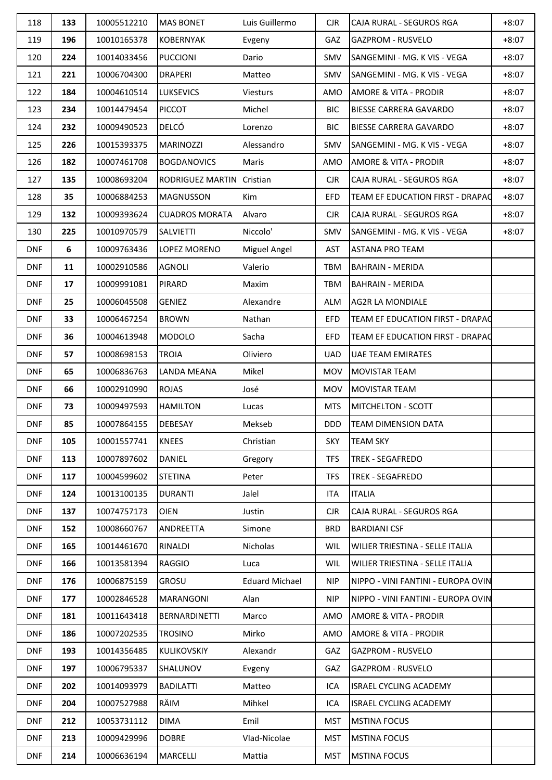| 118        | 133 | 10005512210 | <b>MAS BONET</b>          | Luis Guillermo        | <b>CJR</b> | CAJA RURAL - SEGUROS RGA           | $+8:07$ |
|------------|-----|-------------|---------------------------|-----------------------|------------|------------------------------------|---------|
| 119        | 196 | 10010165378 | <b>KOBERNYAK</b>          | Evgeny                | GAZ        | <b>GAZPROM - RUSVELO</b>           | $+8:07$ |
| 120        | 224 | 10014033456 | <b>PUCCIONI</b>           | Dario                 | <b>SMV</b> | SANGEMINI - MG. K VIS - VEGA       | $+8:07$ |
| 121        | 221 | 10006704300 | <b>DRAPERI</b>            | Matteo                | SMV        | SANGEMINI - MG. K VIS - VEGA       | $+8:07$ |
| 122        | 184 | 10004610514 | <b>LUKSEVICS</b>          | Viesturs              | AMO        | AMORE & VITA - PRODIR              | $+8:07$ |
| 123        | 234 | 10014479454 | PICCOT                    | Michel                | <b>BIC</b> | <b>BIESSE CARRERA GAVARDO</b>      | $+8:07$ |
| 124        | 232 | 10009490523 | DELCÓ                     | Lorenzo               | <b>BIC</b> | <b>BIESSE CARRERA GAVARDO</b>      | $+8:07$ |
| 125        | 226 | 10015393375 | <b>MARINOZZI</b>          | Alessandro            | <b>SMV</b> | SANGEMINI - MG. K VIS - VEGA       | $+8:07$ |
| 126        | 182 | 10007461708 | <b>BOGDANOVICS</b>        | Maris                 | AMO        | AMORE & VITA - PRODIR              | $+8:07$ |
| 127        | 135 | 10008693204 | RODRIGUEZ MARTIN Cristian |                       | $C$ JR     | CAJA RURAL - SEGUROS RGA           | $+8:07$ |
| 128        | 35  | 10006884253 | <b>MAGNUSSON</b>          | Kim                   | <b>EFD</b> | TEAM EF EDUCATION FIRST - DRAPAC   | $+8:07$ |
| 129        | 132 | 10009393624 | <b>CUADROS MORATA</b>     | Alvaro                | <b>CJR</b> | CAJA RURAL - SEGUROS RGA           | $+8:07$ |
| 130        | 225 | 10010970579 | <b>SALVIETTI</b>          | Niccolo'              | SMV        | SANGEMINI - MG. K VIS - VEGA       | $+8:07$ |
| <b>DNF</b> | 6   | 10009763436 | LOPEZ MORENO              | Miguel Angel          | AST        | <b>ASTANA PRO TEAM</b>             |         |
| <b>DNF</b> | 11  | 10002910586 | <b>AGNOLI</b>             | Valerio               | <b>TBM</b> | <b>BAHRAIN - MERIDA</b>            |         |
| <b>DNF</b> | 17  | 10009991081 | <b>PIRARD</b>             | Maxim                 | <b>TBM</b> | <b>BAHRAIN - MERIDA</b>            |         |
| <b>DNF</b> | 25  | 10006045508 | <b>GENIEZ</b>             | Alexandre             | ALM        | <b>AG2R LA MONDIALE</b>            |         |
| <b>DNF</b> | 33  | 10006467254 | <b>BROWN</b>              | Nathan                | <b>EFD</b> | TEAM EF EDUCATION FIRST - DRAPAC   |         |
| <b>DNF</b> | 36  | 10004613948 | <b>MODOLO</b>             | Sacha                 | <b>EFD</b> | TEAM EF EDUCATION FIRST - DRAPAC   |         |
| <b>DNF</b> | 57  | 10008698153 | <b>TROIA</b>              | Oliviero              | UAD        | <b>UAE TEAM EMIRATES</b>           |         |
| <b>DNF</b> | 65  | 10006836763 | <b>LANDA MEANA</b>        | Mikel                 | MOV        | <b>MOVISTAR TEAM</b>               |         |
| <b>DNF</b> | 66  | 10002910990 | <b>ROJAS</b>              | José                  | <b>MOV</b> | <b>MOVISTAR TEAM</b>               |         |
| <b>DNF</b> | 73  | 10009497593 | <b>HAMILTON</b>           | Lucas                 | <b>MTS</b> | MITCHELTON - SCOTT                 |         |
| <b>DNF</b> | 85  | 10007864155 | <b>DEBESAY</b>            | Mekseb                | DDD.       | <b>TEAM DIMENSION DATA</b>         |         |
| <b>DNF</b> | 105 | 10001557741 | <b>KNEES</b>              | Christian             | <b>SKY</b> | <b>TEAM SKY</b>                    |         |
| <b>DNF</b> | 113 | 10007897602 | DANIEL                    | Gregory               | <b>TFS</b> | TREK - SEGAFREDO                   |         |
| <b>DNF</b> | 117 | 10004599602 | <b>STETINA</b>            | Peter                 | <b>TFS</b> | <b>TREK - SEGAFREDO</b>            |         |
| <b>DNF</b> | 124 | 10013100135 | <b>DURANTI</b>            | Jalel                 | ITA        | <b>ITALIA</b>                      |         |
| <b>DNF</b> | 137 | 10074757173 | <b>OIEN</b>               | Justin                | <b>CJR</b> | CAJA RURAL - SEGUROS RGA           |         |
| <b>DNF</b> | 152 | 10008660767 | ANDREETTA                 | Simone                | <b>BRD</b> | <b>BARDIANI CSF</b>                |         |
| <b>DNF</b> | 165 | 10014461670 | RINALDI                   | Nicholas              | <b>WIL</b> | WILIER TRIESTINA - SELLE ITALIA    |         |
| <b>DNF</b> | 166 | 10013581394 | <b>RAGGIO</b>             | Luca                  | <b>WIL</b> | WILIER TRIESTINA - SELLE ITALIA    |         |
| <b>DNF</b> | 176 | 10006875159 | <b>GROSU</b>              | <b>Eduard Michael</b> | <b>NIP</b> | NIPPO - VINI FANTINI - EUROPA OVIN |         |
| <b>DNF</b> | 177 | 10002846528 | <b>MARANGONI</b>          | Alan                  | <b>NIP</b> | NIPPO - VINI FANTINI - EUROPA OVIN |         |
| <b>DNF</b> | 181 | 10011643418 | <b>BERNARDINETTI</b>      | Marco                 | AMO        | AMORE & VITA - PRODIR              |         |
| <b>DNF</b> | 186 | 10007202535 | <b>TROSINO</b>            | Mirko                 | AMO        | AMORE & VITA - PRODIR              |         |
| <b>DNF</b> | 193 | 10014356485 | <b>KULIKOVSKIY</b>        | Alexandr              | GAZ        | <b>GAZPROM - RUSVELO</b>           |         |
| <b>DNF</b> | 197 | 10006795337 | <b>SHALUNOV</b>           | Evgeny                | <b>GAZ</b> | <b>GAZPROM - RUSVELO</b>           |         |
| <b>DNF</b> | 202 | 10014093979 | <b>BADILATTI</b>          | Matteo                | ICA        | <b>ISRAEL CYCLING ACADEMY</b>      |         |
| <b>DNF</b> | 204 | 10007527988 | RÄIM                      | Mihkel                | ICA        | <b>ISRAEL CYCLING ACADEMY</b>      |         |
| <b>DNF</b> | 212 | 10053731112 | <b>DIMA</b>               | Emil                  | <b>MST</b> | <b>MSTINA FOCUS</b>                |         |
| <b>DNF</b> | 213 | 10009429996 | <b>DOBRE</b>              | Vlad-Nicolae          | <b>MST</b> | <b>MSTINA FOCUS</b>                |         |
| <b>DNF</b> | 214 | 10006636194 | MARCELLI                  | Mattia                | <b>MST</b> | <b>MSTINA FOCUS</b>                |         |
|            |     |             |                           |                       |            |                                    |         |